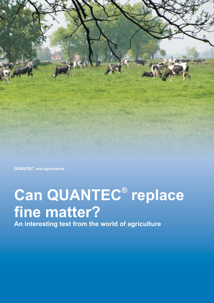

**QUANTEC<sup>®</sup> and agriculture** 

# Can QUANTEC<sup>®</sup> replace **fine matter?**

**An interesting test from the world of agriculture**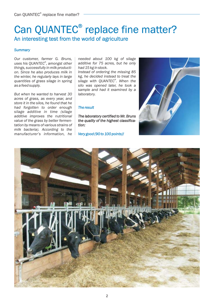# Can QUANTEC<sup>®</sup> replace fine matter? An interesting test from the world of agriculture An interesting test from the world of

#### *Summary*

*Our customer, farmer G. Bruns, uses his QUANTEC , amongst other ® things, successfully in milk production. Since he also produces milk in the winter, he regularly lays in large quantities of grass silage in spring as a feed supply.*

*But when he wanted to harvest 30 acres of grass, as every year, and store it in the silos, he found that he had forgotten to order enough silage additive in time (silage additive improves the nutritional value of the grass by better fermentation by means of various strains of milk bacteria). According to the manufacturer's information, he* *needed about 100 kg of silage additive for 75 acres, but he only had 15 kg in stock.*

*Instead of ordering the missing 85 kg, he decided instead to treat the silage with QUANTEC . When the ® silo was opened later, he took a sample and had it examined by a laboratory.*

#### *The result*

*The laboratory certified to Mr. Bruns the quality of the highest classification:*

*Very good (90 to 100 points)!*



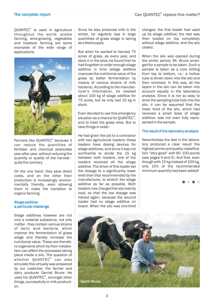### Can QUANTEC<sup>®</sup> replace fine matter?

#### The complete report

QUANTEC<sup>®</sup> is used in agriculture throughout the world: arable farming, wine-growing, vegetables and livestock farming are some examples of the wide range of applications.



Farmers like QUANTEC<sup>®</sup> because it can reduce the quantities of fertiliser and chemical pesticides year after year, without reducing the quantity or quality of the harvest quite the contrary.

On the one hand, they save direct costs, and on the other their production is increasingly environmentally friendly, even allowing them to make the transition to organic farming.

#### Silage additive a particular challenge

Silage additives however are not only a material substance, not only matter - they contain various strains of lactic acid bacteria, which improve the fermentation of grass silage and thereby increase the nutritional value. These are therefore organisms which by their metabolism can affect the processes taking place inside a silo. The question of whether QUANTEC $^\circ$  can also simulate this virtually was answered by our customer, the farmer and dairy producer Gerriet Bruns: He uses his QUANTEC®, amongst other things, successfully in milk production.

Since he also produces milk in the winter, he regularly lays in large quantities of grass silage in spring as a feed supply.

But when he wanted to harvest 75 acres of grass, as every year, and store it in the silos, he found that he had forgotten to order enough silage additive in time (silage additive improves the nutritional value of the grass by better fermentation by means of various strains of milk bacteria). According to the manufacturer's information, he needed about 100 kg of silage additive for 75 acres, but he only had 15 kg in stock.

Even decided to use this emergency situation as a chance for QUANTEC $^\circ$ , and to treat the grass silos. But to take things in order:

He had given the job to a contractor with two agricultural loaders; these loaders have dosing devices for silage additives, and since it was not worthwhile to divide the 15 kg between both loaders, one of the loaders received all the silage additive. The driver of this loader set the dosage to a significantly lower level than that recommended by the manufacturer, to stretch the silage additive as far as possible. Both loaders now charged the silo load by load, so that the low dosage was halved again, because the second loader had no silage additive on board. When the silo was one-third charged, the first loader had used up its silage additive; the rest was then loaded on top completely without silage additive, and the silo closed.

When the silo was opened during the winter period, Mr. Bruns arranged for a sample to be taken. Such a sample is taken as a core drilling from top to bottom, i.e.: a hollow tube is driven down into the silo and then removed. In this way, all the layers in the silo can be taken into account equally in the laboratory analysis. Since it is not so easy to drive the sampling tube fully into the silo, it can be assumed that the lower third of the silo, which had received a small dose of silage additive, was not even fully represented in the sample.

#### The result of the laboratory analysis

Nevertheless the test in the laboratory produced a clear result: the highest points and quality classification "Very good" with 90 -100 points (see pages 4 and 5). And that, even though with 15 kg instead of 100 kg, only 15% of the recommended minimum quantity had been added!



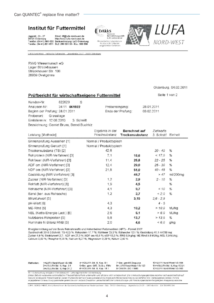# Institut für Futtermittel

Jägerstr. 23 - 27 Email: iff@lufa-nord-west.de<br>26121 Oldenburg http://www.lufa-nord-west.de<br>Telefon: (04 41) 801-850 Bankverbindung: LzO Oldenburg Telefax: (04 41) 801-871 BLZ: 280 501 00 - Kto.: 660 886



Akkraditiertes Leboretorium<br>für die in der Urkunde<br>aufgeführten Verfahren

Probeneingang:

Ende der Prüfung:

craft



LUFA Nord-West Institution Fultermittel Jaconstraße 23-27 - 26121 Oldenburg

RWG Wesermarsch eG Lager Strückhausen Strückhauser Str. 108 26939 Ovelgönne

#### Oldenburg, 04.02.2011

Seite 1 von 2

28.01.2011 03.02.2011

#### Prüfbericht für wirtschaftseigene Futtermittel

Kunden-Nr. 822029 S Analysen-Nr: 34 11 061922 Beginn der Prüfung: 28.01.2011 Probenart: Grassilage Erntetermin: 12.08.2010 3. Schnitt Bezeichnung: Gerriet Bruns, Bernd Buchhlz

| Leistung [Methode]             | Ergebnis in der<br>Frischsubstanz | <b>Berechnet auf</b><br>Trockensubstanz | Ziehwerte<br>3. Schnitt | Einheit  |
|--------------------------------|-----------------------------------|-----------------------------------------|-------------------------|----------|
| Sinnenprüfung Aussehen [1]     | Normal / Produkttypisch           |                                         |                         |          |
| Sinnenprüfung Geruch [1]       | Normal / Produkttypisch           |                                         |                         |          |
| Trockensubstanz (TS) [2]       | 42,6                              |                                         | $30 - 40$               | %        |
| Rohprotein (NIR-Verfahren) [3] | 7,1                               | 16,6                                    | < 17,0                  | %        |
| Rohfaser (NIR-Verfahren) [3]   | 11.4                              | 26,8                                    | $22 - 25$               | %        |
| ADF om (NIR-Verfahren) [3]     | 12,4                              | 29,0                                    | $25 - 30$               | %        |
| NDF om (NIR-Verfahren) [3]     | 21,8                              | 51,0                                    | $40 - 48$               | %        |
| Gasbildung (NIR-Verfahren) [3] |                                   | 44,7                                    | >47                     | ml/200mg |
| Zucker (NIR-Verfahren) [3]     | 1,2                               | 2,9                                     | $2 - 10$                | %        |
| Rohfett (NIR-Verfahren) [3]    | 1,9                               | 4,5                                     |                         | %        |
| Rohasche (NIR-Verfahren) [3]   | 4, 1                              | 9,7                                     | < 10                    | %        |
| Sand (ber. aus Rohasche)       | 1,2                               | 2,7                                     | & 2.0                   | %        |
| Strukturwert [5]               |                                   | 3,15                                    | $2,6 - 2,9$             |          |
| pH-Wert [6]                    | 4,3                               |                                         | $4 - 5$                 |          |
| ME-Rind [5]                    | 4,3                               | 10,2                                    | >10,0                   | MJ/kg    |
| NEL (Netto-Energie-Lact.) [5]  | 2,6                               | 6,1                                     | > 6,0                   | MJ/kg    |
| Nutzbares Rohprotein [5]       | 5,8                               | 13,7                                    | > 13.5                  | %        |
| Ruminale N-Bilanz RNB [5]      | 2,0                               | 4,6                                     | < 6,0                   | g/kg     |

Energieermittlung auf der Basis Rohnährstoffe und Hohenheimer Futterwerttest (HFT) - Formel 2007

Durchschnitt 2010 3.Schnitt: TS 42,3 %; Rohprotein 17,7 %; Rohfaser 23,3 %; Rohasche 12,1 %; Gasbildung 41,1 ml/200 mg; Zucker 4.9 %: Strukturwert 2.7: ADF om 27.3 %: NDF om 45,8 %; nXP 13,3 %; RNB 6,9 g/kg; ME-Rind 9,9 MJ/kg; NEL 5,9 MJ/kg; Calcium 0,69 %; Phosphor 0,35 %; Natrium 0,27 %; Magnesium 0,29 %; Kalium 2,40 %

| Methoden: | 1=LUFA Nord-West 1/3-185   | 4=VDLUFA Bd. III, Kap. 8.1  | 7=Ber. gemäß Degussa     | 10=LUFA Nord-West 1/3-164     |
|-----------|----------------------------|-----------------------------|--------------------------|-------------------------------|
|           | 2=VDLUFA Bd. III, Kap. 3.1 | 5=Ber. gem. GfE, DLG u. FMV | 8=LUFA Nord-West 1/3-152 | 11=VDLUFA Bd. III, Kap.10.5.1 |
|           | 3¤VDLUFA Bd. III, Kap 31.2 | 6=VDLUFA Bd. III. Kap. 18.1 | 9=DIN EN ISO 11885       | 12=LUFA Nord-West 1/3-163     |
|           |                            |                             |                          |                               |

#5 = Untersuchung erfolgte in Fremdlabor, #6 = unterhagt hicht der Akkraditierung Dreser Befund wurde alten aufomatischen Plausibilitätskonfrolle unterworten und ist daber nicht unterzeichnet. Die Untersuchungsergeonisse beziehen sich ausschließlich auf des uns vorliegende Procenmaterial. Dieser Prufbericht darf nicht auszugsweise ohne unsere sohnflüche Genehmigung verzielfalligt bzw. weitagegeben werden. Für die angegebenen Untersuchungsparameler gelten die vom Verband Deutscher Landwirtschaftlicher Untersuchungs- und Forschungsenstalten festgelegten Analysenspielreume

LUFA NORD-WEST; Ein Unternehmen der Landwirtschaftskammer Niedersachsen - Sitz : 26121 Oldenburg - Jegerstreße 23-27 - UST-klent Nr : DE 245 610 284